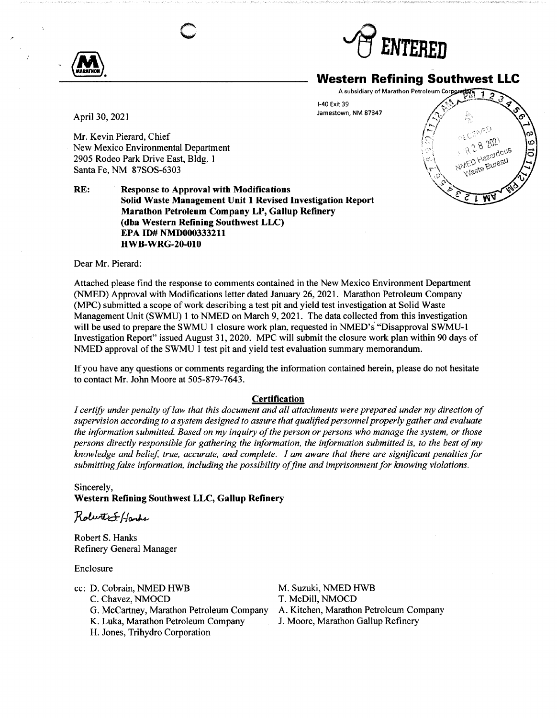

# **Western Refining Southwest LLC**

A subsidiary of Marathon Petroleum Corpor

1-40 Exit 39 Jamestown, NM 87347

April 30, 2021

(MARATHON)

Mr. Kevin Pierard, Chief New Mexico Environmental Department 2905 Rodeo Park Drive East, Bldg. 1 Santa Fe, NM 87SOS-6303

C

**RE: Response to Approval with Modifications Solid Waste Management Unit 1 Revised Investigation Report Marathon Petroleum Company LP, Gallup Refinery (dba Western Refining Southwest LLC) EPA ID# NMD000333211 HWB-WRG-20-010** 

Dear Mr. Pierard:

Attached please find the response to comments contained in the New Mexico Environment Department (NMED) Approval with Modifications letter dated January 26, 2021. Marathon Petroleum Company (MPC) submitted a scope of work describing a test pit and yield test investigation at Solid Waste Management Unit (SWMU) 1 to NMED on March 9, 2021. The data collected from this investigation will be used to prepare the SWMU 1 closure work plan, requested in NMED's "Disapproval SWMU-1 Investigation Report" issued August 31, 2020. MPC will submit the closure work plan within 90 days of NMED approval of the SWMU l test pit and yield test evaluation summary memorandum.

If you have any questions or comments regarding the information contained herein, please do not hesitate to contact Mr. John Moore at 505-879-7643.

#### **Certification**

*I certify under penalty of law that this document and all attachments were prepared under my direction of supervision according to a system designed to assure that qualified personnel properly gather and evaluate the information submitted. Based on my inquiry of the person or persons who manage the system, or those persons directly responsible for gathering the information, the information submitted is, to the best of my knowledge and belief, true, accurate, and complete. I am aware that there are significant penalties for submittingfalse information, including the possibility of fine and imprisonment for knowing violations.* 

Sincerely, **Western Refining Southwest LLC, Gallup Refinery** 

Robert S. Hands

Robert S. Hanks Refinery General Manager

Enclosure

cc: D. Cobrain, NMED HWB C. Chavez, NMOCD G. McCartney, Marathon Petroleum Company

- K. Luka, Marathon Petroleum Company
- H. Jones, Trihydro Corporation

M. Suzuki, NMED HWB T. McDill, NMOCD A. Kitchen, Marathon Petroleum Company J. Moore, Marathon Gallup Refinery

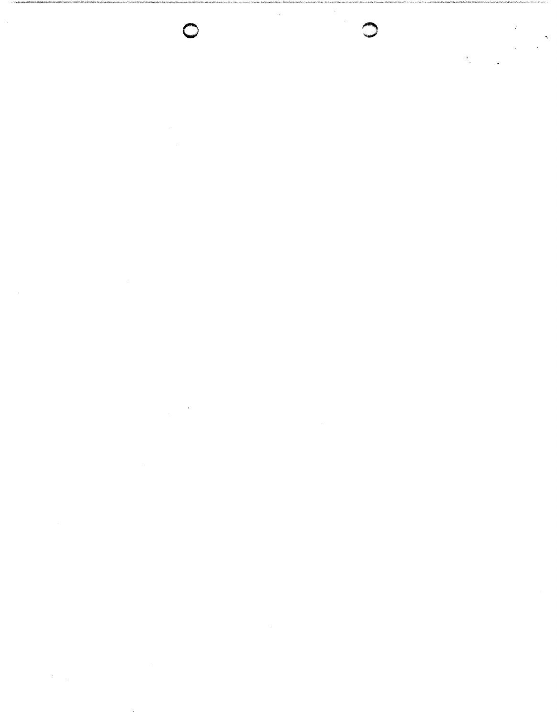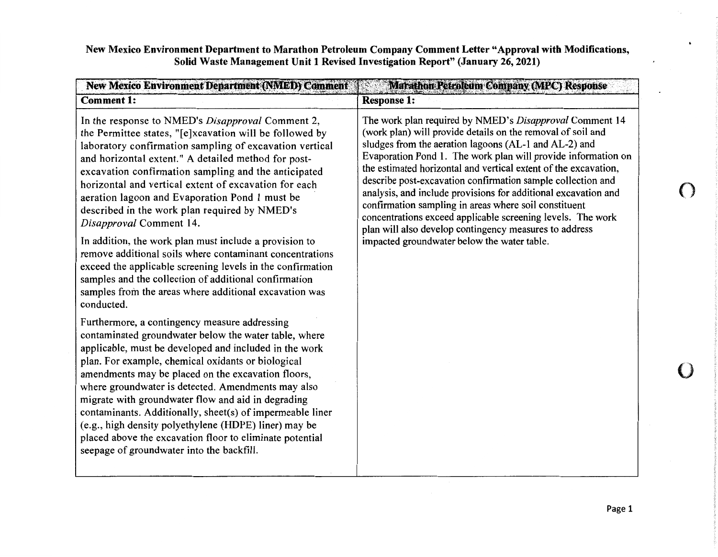| <b>New Mexico Environment Department (NMED) Comment</b>                                                                                                                                                                                                                                                                                                                                                                                                                                                                                                                                                                 | Marathon Petroleum Company (MPC) Response                                                                                                                                                                                                                                                                                                                                                                                                                                                                                                                                                                                                                                             |
|-------------------------------------------------------------------------------------------------------------------------------------------------------------------------------------------------------------------------------------------------------------------------------------------------------------------------------------------------------------------------------------------------------------------------------------------------------------------------------------------------------------------------------------------------------------------------------------------------------------------------|---------------------------------------------------------------------------------------------------------------------------------------------------------------------------------------------------------------------------------------------------------------------------------------------------------------------------------------------------------------------------------------------------------------------------------------------------------------------------------------------------------------------------------------------------------------------------------------------------------------------------------------------------------------------------------------|
| <b>Comment 1:</b>                                                                                                                                                                                                                                                                                                                                                                                                                                                                                                                                                                                                       | <b>Response 1:</b>                                                                                                                                                                                                                                                                                                                                                                                                                                                                                                                                                                                                                                                                    |
| In the response to NMED's Disapproval Comment 2,<br>the Permittee states, "[e]xcavation will be followed by<br>laboratory confirmation sampling of excavation vertical<br>and horizontal extent." A detailed method for post-<br>excavation confirmation sampling and the anticipated<br>horizontal and vertical extent of excavation for each<br>aeration lagoon and Evaporation Pond 1 must be<br>described in the work plan required by NMED's<br>Disapproval Comment 14.                                                                                                                                            | The work plan required by NMED's Disapproval Comment 14<br>(work plan) will provide details on the removal of soil and<br>sludges from the aeration lagoons (AL-1 and AL-2) and<br>Evaporation Pond 1. The work plan will provide information on<br>the estimated horizontal and vertical extent of the excavation,<br>describe post-excavation confirmation sample collection and<br>analysis, and include provisions for additional excavation and<br>confirmation sampling in areas where soil constituent<br>concentrations exceed applicable screening levels. The work<br>plan will also develop contingency measures to address<br>impacted groundwater below the water table. |
| In addition, the work plan must include a provision to<br>remove additional soils where contaminant concentrations<br>exceed the applicable screening levels in the confirmation<br>samples and the collection of additional confirmation<br>samples from the areas where additional excavation was<br>conducted.                                                                                                                                                                                                                                                                                                       |                                                                                                                                                                                                                                                                                                                                                                                                                                                                                                                                                                                                                                                                                       |
| Furthermore, a contingency measure addressing<br>contaminated groundwater below the water table, where<br>applicable, must be developed and included in the work<br>plan. For example, chemical oxidants or biological<br>amendments may be placed on the excavation floors,<br>where groundwater is detected. Amendments may also<br>migrate with groundwater flow and aid in degrading<br>contaminants. Additionally, sheet(s) of impermeable liner<br>(e.g., high density polyethylene (HDPE) liner) may be<br>placed above the excavation floor to eliminate potential<br>seepage of groundwater into the backfill. |                                                                                                                                                                                                                                                                                                                                                                                                                                                                                                                                                                                                                                                                                       |

 $\bigcirc$ 

 $\bf{O}$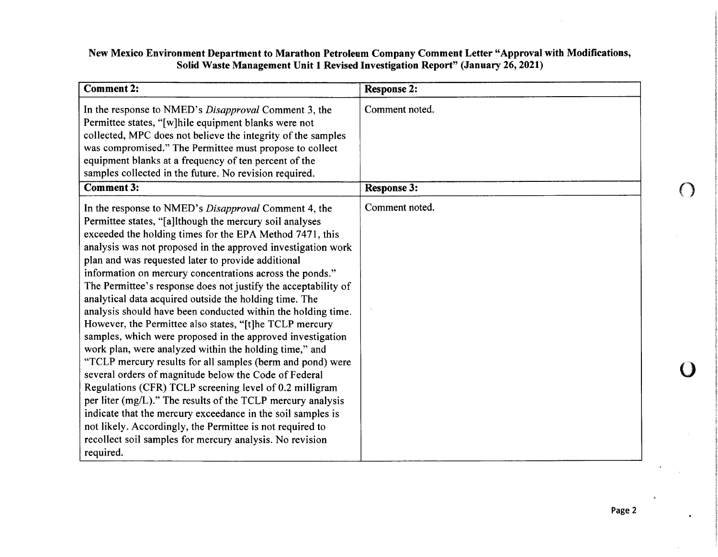| <b>Comment 2:</b>                                                                                                                                                                                                                                                                                                                                                                                                                                                                                                                                                                                                                                                                                                                                                                                                                                                                                                                                                                                                                                                                                                                                                                                         | <b>Response 2:</b> |
|-----------------------------------------------------------------------------------------------------------------------------------------------------------------------------------------------------------------------------------------------------------------------------------------------------------------------------------------------------------------------------------------------------------------------------------------------------------------------------------------------------------------------------------------------------------------------------------------------------------------------------------------------------------------------------------------------------------------------------------------------------------------------------------------------------------------------------------------------------------------------------------------------------------------------------------------------------------------------------------------------------------------------------------------------------------------------------------------------------------------------------------------------------------------------------------------------------------|--------------------|
| In the response to NMED's <i>Disapproval</i> Comment 3, the<br>Permittee states, "[w]hile equipment blanks were not<br>collected, MPC does not believe the integrity of the samples<br>was compromised." The Permittee must propose to collect<br>equipment blanks at a frequency of ten percent of the<br>samples collected in the future. No revision required.                                                                                                                                                                                                                                                                                                                                                                                                                                                                                                                                                                                                                                                                                                                                                                                                                                         | Comment noted.     |
| <b>Comment 3:</b>                                                                                                                                                                                                                                                                                                                                                                                                                                                                                                                                                                                                                                                                                                                                                                                                                                                                                                                                                                                                                                                                                                                                                                                         | <b>Response 3:</b> |
| In the response to NMED's <i>Disapproval</i> Comment 4, the<br>Permittee states, "[a]lthough the mercury soil analyses<br>exceeded the holding times for the EPA Method 7471, this<br>analysis was not proposed in the approved investigation work<br>plan and was requested later to provide additional<br>information on mercury concentrations across the ponds."<br>The Permittee's response does not justify the acceptability of<br>analytical data acquired outside the holding time. The<br>analysis should have been conducted within the holding time.<br>However, the Permittee also states, "[t]he TCLP mercury<br>samples, which were proposed in the approved investigation<br>work plan, were analyzed within the holding time," and<br>"TCLP mercury results for all samples (berm and pond) were<br>several orders of magnitude below the Code of Federal<br>Regulations (CFR) TCLP screening level of 0.2 milligram<br>per liter (mg/L)." The results of the TCLP mercury analysis<br>indicate that the mercury exceedance in the soil samples is<br>not likely. Accordingly, the Permittee is not required to<br>recollect soil samples for mercury analysis. No revision<br>required. | Comment noted.     |

 $\bigcirc$ 

 $\mathbf O$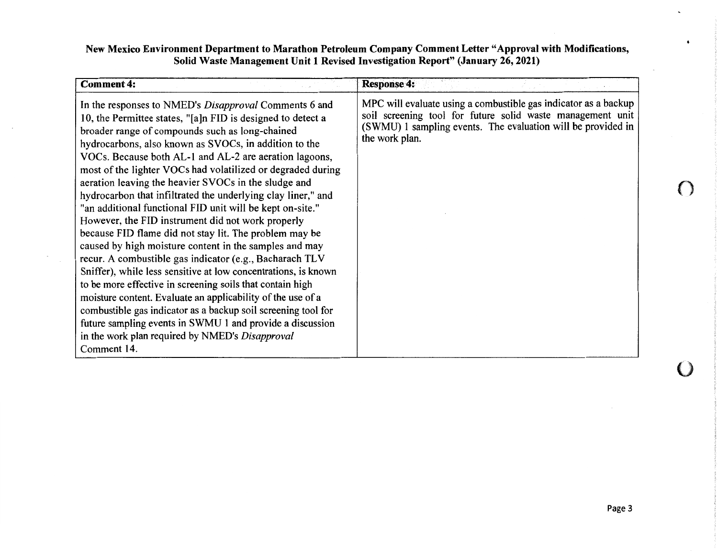| <b>Comment 4:</b>                                                                                                                                                                                                                                                                                                                                                                                                                                                                                                                                                                                                                                                                                                                                                                                                                                                                                                                                                                                                                                                                                                                                                                       | <b>Response 4:</b>                                                                                                                                                                                              |
|-----------------------------------------------------------------------------------------------------------------------------------------------------------------------------------------------------------------------------------------------------------------------------------------------------------------------------------------------------------------------------------------------------------------------------------------------------------------------------------------------------------------------------------------------------------------------------------------------------------------------------------------------------------------------------------------------------------------------------------------------------------------------------------------------------------------------------------------------------------------------------------------------------------------------------------------------------------------------------------------------------------------------------------------------------------------------------------------------------------------------------------------------------------------------------------------|-----------------------------------------------------------------------------------------------------------------------------------------------------------------------------------------------------------------|
| In the responses to NMED's <i>Disapproval</i> Comments 6 and<br>10, the Permittee states, "[a]n FID is designed to detect a<br>broader range of compounds such as long-chained<br>hydrocarbons, also known as SVOCs, in addition to the<br>VOCs. Because both AL-1 and AL-2 are aeration lagoons,<br>most of the lighter VOCs had volatilized or degraded during<br>aeration leaving the heavier SVOCs in the sludge and<br>hydrocarbon that infiltrated the underlying clay liner," and<br>"an additional functional FID unit will be kept on-site."<br>However, the FID instrument did not work properly<br>because FID flame did not stay lit. The problem may be<br>caused by high moisture content in the samples and may<br>recur. A combustible gas indicator (e.g., Bacharach TLV<br>Sniffer), while less sensitive at low concentrations, is known<br>to be more effective in screening soils that contain high<br>moisture content. Evaluate an applicability of the use of a<br>combustible gas indicator as a backup soil screening tool for<br>future sampling events in SWMU 1 and provide a discussion<br>in the work plan required by NMED's Disapproval<br>Comment 14. | MPC will evaluate using a combustible gas indicator as a backup<br>soil screening tool for future solid waste management unit<br>(SWMU) 1 sampling events. The evaluation will be provided in<br>the work plan. |

 $\epsilon$  $\sim$   $\bigcirc$ 

 $\bullet$ 

 $\bigcirc$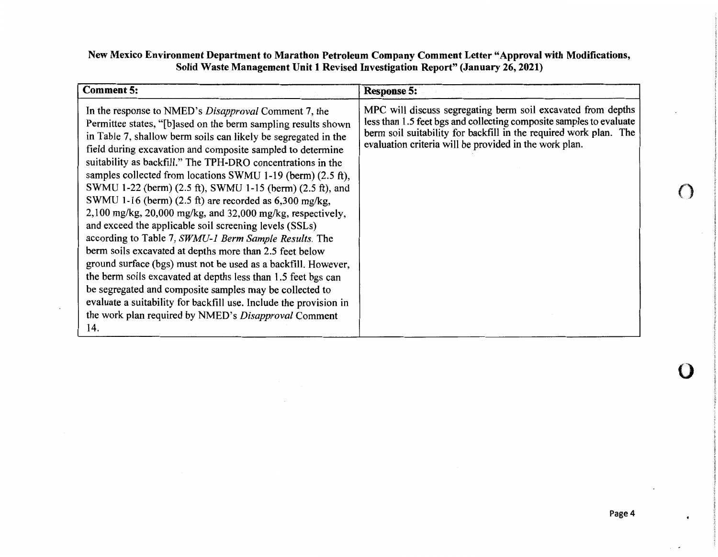| <b>Comment 5:</b>                                                                                                                                                                                                                                                                                                                                                                                                                                                                                                                                                                                                                                                                                                                                                                                                                                                                                                                                                                                                                                                                                      | <b>Response 5:</b>                                                                                                                                                                                                                                                 |
|--------------------------------------------------------------------------------------------------------------------------------------------------------------------------------------------------------------------------------------------------------------------------------------------------------------------------------------------------------------------------------------------------------------------------------------------------------------------------------------------------------------------------------------------------------------------------------------------------------------------------------------------------------------------------------------------------------------------------------------------------------------------------------------------------------------------------------------------------------------------------------------------------------------------------------------------------------------------------------------------------------------------------------------------------------------------------------------------------------|--------------------------------------------------------------------------------------------------------------------------------------------------------------------------------------------------------------------------------------------------------------------|
| In the response to NMED's <i>Disapproval</i> Comment 7, the<br>Permittee states, "[b]ased on the berm sampling results shown<br>in Table 7, shallow berm soils can likely be segregated in the<br>field during excavation and composite sampled to determine<br>suitability as backfill." The TPH-DRO concentrations in the<br>samples collected from locations SWMU 1-19 (berm) (2.5 ft),<br>SWMU 1-22 (berm) (2.5 ft), SWMU 1-15 (berm) (2.5 ft), and<br>SWMU 1-16 (berm) (2.5 ft) are recorded as $6,300$ mg/kg,<br>$2,100$ mg/kg, $20,000$ mg/kg, and $32,000$ mg/kg, respectively,<br>and exceed the applicable soil screening levels (SSLs)<br>according to Table 7, SWMU-1 Berm Sample Results. The<br>berm soils excavated at depths more than 2.5 feet below<br>ground surface (bgs) must not be used as a backfill. However,<br>the berm soils excavated at depths less than 1.5 feet bgs can<br>be segregated and composite samples may be collected to<br>evaluate a suitability for backfill use. Include the provision in<br>the work plan required by NMED's Disapproval Comment<br>14. | MPC will discuss segregating berm soil excavated from depths<br>less than 1.5 feet bgs and collecting composite samples to evaluate<br>berm soil suitability for backfill in the required work plan. The<br>evaluation criteria will be provided in the work plan. |

 $\cdot$ 

*()* 

 $\mathbf O$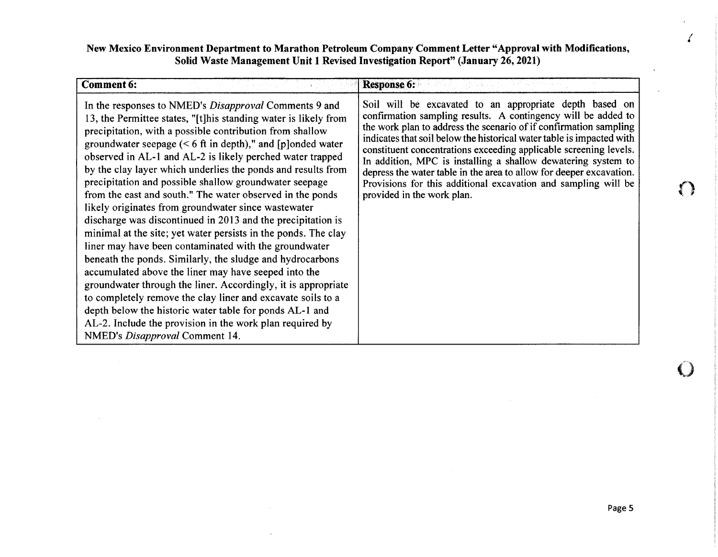| <b>Comment 6:</b>                                                                                                                                                                                                                                                                                                                                                                                                                                                                                                                                                                                                                                                                                                                                                                                                                                                                                                                                                                                                                                                                                                                                                       | Response 6:                                                                                                                                                                                                                                                                                                                                                                                                                                                                                                                                                                         |
|-------------------------------------------------------------------------------------------------------------------------------------------------------------------------------------------------------------------------------------------------------------------------------------------------------------------------------------------------------------------------------------------------------------------------------------------------------------------------------------------------------------------------------------------------------------------------------------------------------------------------------------------------------------------------------------------------------------------------------------------------------------------------------------------------------------------------------------------------------------------------------------------------------------------------------------------------------------------------------------------------------------------------------------------------------------------------------------------------------------------------------------------------------------------------|-------------------------------------------------------------------------------------------------------------------------------------------------------------------------------------------------------------------------------------------------------------------------------------------------------------------------------------------------------------------------------------------------------------------------------------------------------------------------------------------------------------------------------------------------------------------------------------|
| In the responses to NMED's Disapproval Comments 9 and<br>13, the Permittee states, "[t]his standing water is likely from<br>precipitation, with a possible contribution from shallow<br>groundwater seepage $(< 6$ ft in depth)," and [p]onded water<br>observed in AL-1 and AL-2 is likely perched water trapped<br>by the clay layer which underlies the ponds and results from<br>precipitation and possible shallow groundwater seepage<br>from the east and south." The water observed in the ponds<br>likely originates from groundwater since wastewater<br>discharge was discontinued in 2013 and the precipitation is<br>minimal at the site; yet water persists in the ponds. The clay<br>liner may have been contaminated with the groundwater<br>beneath the ponds. Similarly, the sludge and hydrocarbons<br>accumulated above the liner may have seeped into the<br>groundwater through the liner. Accordingly, it is appropriate<br>to completely remove the clay liner and excavate soils to a<br>depth below the historic water table for ponds AL-1 and<br>AL-2. Include the provision in the work plan required by<br>NMED's Disapproval Comment 14. | Soil will be excavated to an appropriate depth based on<br>confirmation sampling results. A contingency will be added to<br>the work plan to address the scenario of if confirmation sampling<br>indicates that soil below the historical water table is impacted with<br>constituent concentrations exceeding applicable screening levels.<br>In addition, MPC is installing a shallow dewatering system to<br>depress the water table in the area to allow for deeper excavation.<br>Provisions for this additional excavation and sampling will be<br>provided in the work plan. |

*I* •

 $\bigcap$ 

 $\bigcirc$